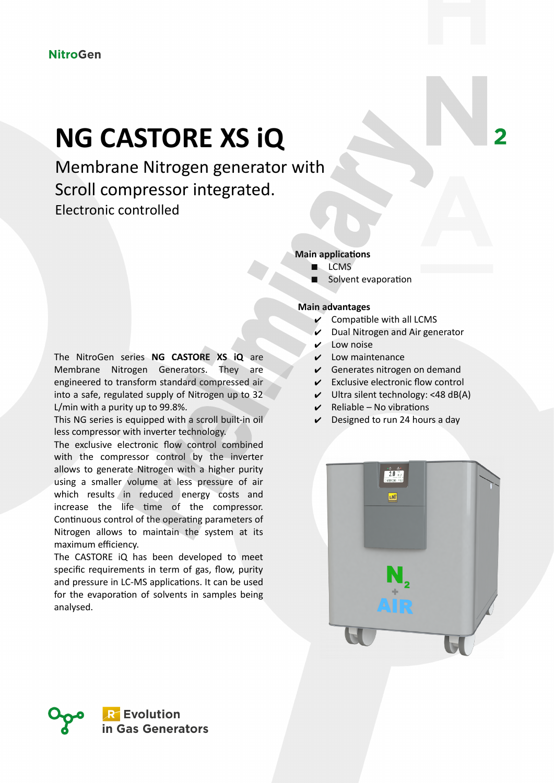## **NG CASTORE XS iQ**

Membrane Nitrogen generator with Scroll compressor integrated. Electronic controlled

## **Main applications**

- LCMS
- Solvent evaporation

## **Main advantages**

- Compatible with all LCMS
- Dual Nitrogen and Air generator
- Low noise
- Low maintenance
- $\vee$  Generates nitrogen on demand
- $\mathcal V$  Exclusive electronic flow control
- $\vee$  Ultra silent technology: <48 dB(A)
- $Reliable No$  vibrations
- Designed to run 24 hours a day



This NG series is equipped with a scroll built-in oil less compressor with inverter technology.

The exclusive electronic flow control combined with the compressor control by the inverter allows to generate Nitrogen with a higher purity using a smaller volume at less pressure of air which results in reduced energy costs and increase the life time of the compressor. Continuous control of the operating parameters of Nitrogen allows to maintain the system at its maximum efficiency.

The CASTORE iQ has been developed to meet specific requirements in term of gas, flow, purity and pressure in LC-MS applications. It can be used for the evaporation of solvents in samples being analysed.